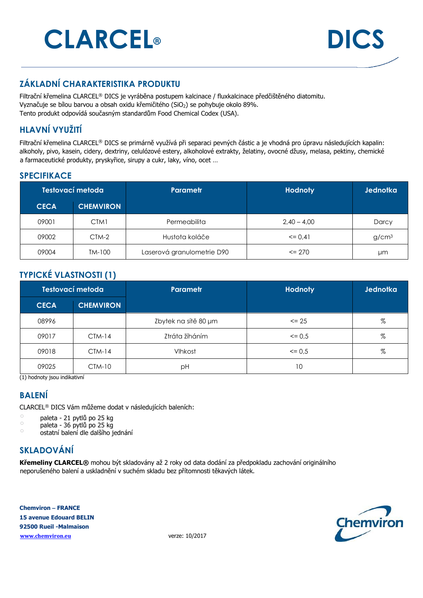# **CLARCEL® DICS**



#### **ZÁKLADNÍ CHARAKTERISTIKA PRODUKTU**

Filtrační křemelina CLARCEL® DICS je vyráběna postupem kalcinace / fluxkalcinace předčištěného diatomitu. Vyznačuje se bílou barvou a obsah oxidu křemičitého (SiO<sub>2</sub>) se pohybuje okolo 89%. Tento produkt odpovídá současným standardům Food Chemical Codex (USA).

#### **HLAVNÍ VYUŽITÍ**

Filtrační křemelina CLARCEL® DICS se primárně využívá při separaci pevných částic a je vhodná pro úpravu následujících kapalin: alkoholy, pivo, kasein, cidery, dextriny, celulózové estery, alkoholové extrakty, želatiny, ovocné džusy, melasa, pektiny, chemické a farmaceutické produkty, pryskyřice, sirupy a cukr, laky, víno, ocet …

#### **SPECIFIKACE**

| Testovací metoda |                  | Parametr                   | <b>Hodnoty</b> | <b>Jednotka</b>   |
|------------------|------------------|----------------------------|----------------|-------------------|
| <b>CECA</b>      | <b>CHEMVIRON</b> |                            |                |                   |
| 09001            | CTM1             | Permeabilita               | $2.40 - 4.00$  | Darcy             |
| 09002            | CTM-2            | Hustota koláče             | $\leq$ 0.41    | g/cm <sup>3</sup> |
| 09004            | TM-100           | Laserová granulometrie D90 | $\leq$ 270     | μm                |

#### **TYPICKÉ VLASTNOSTI (1)**

| Testovací metoda |                  | <b>Parametr</b>      | <b>Hodnoty</b> | Jednotka |
|------------------|------------------|----------------------|----------------|----------|
| <b>CECA</b>      | <b>CHEMVIRON</b> |                      |                |          |
| 08996            |                  | Zbytek na sítě 80 µm | $\leq$ 25      | %        |
| 09017            | $CTM-14$         | Ztráta žíháním       | $\leq$ 0.5     | %        |
| 09018            | $CIM-14$         | Vlhkost              | $\leq$ 0.5     | %        |
| 09025            | $CTM-10$         | рH                   | 10             |          |

(1) hodnoty jsou indikativní

#### **BALENÍ**

CLARCEL® DICS Vám můžeme dodat v následujících baleních:

- $\circ$  paleta 21 pytlů po 25 kg
- $\degree$  paleta 36 pytlů po 25 kg
- $\circ$  ostatní balení dle dalšího jednání

#### **SKLADOVÁNÍ**

**Křemeliny CLARCEL®** mohou být skladovány až 2 roky od data dodání za předpokladu zachování originálního neporušeného balení a uskladnění v suchém skladu bez přítomnosti těkavých látek.

**Chemviron – FRANCE 15 avenue Edouard BELIN 92500 Rueil -Malmaison www.chemviron.eu** verze: 10/2017